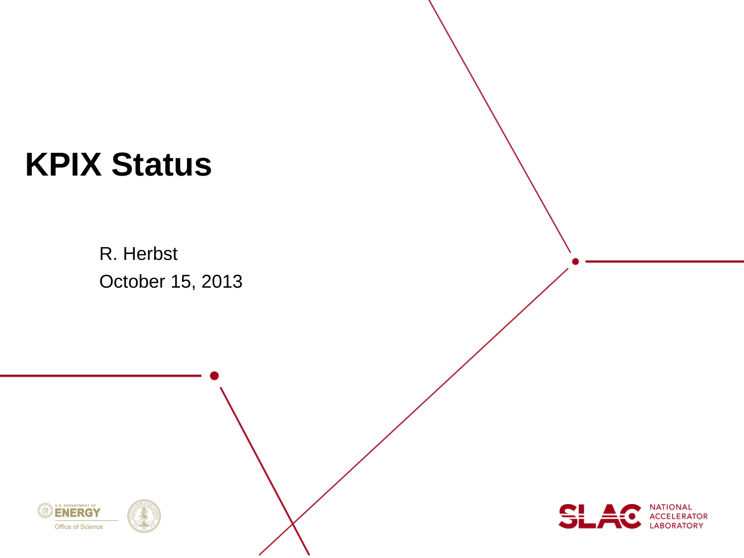# **KPIX Status**

R. Herbst October 15, 2013



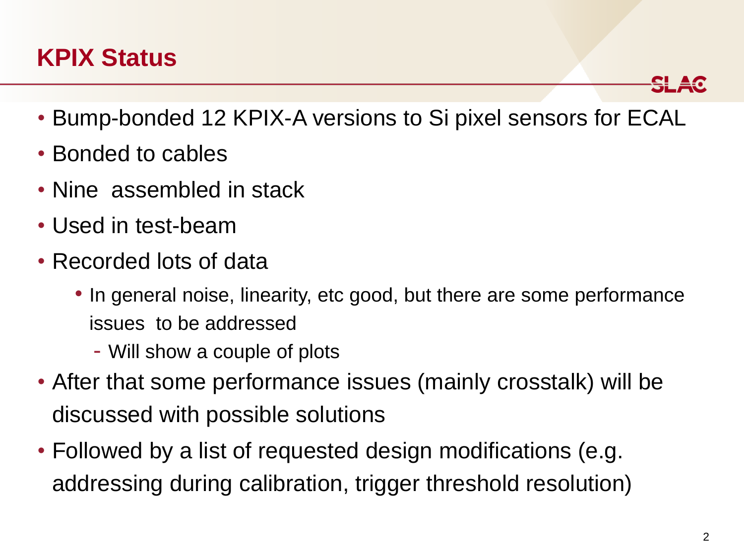## **KPIX Status**

- Bump-bonded 12 KPIX-A versions to Si pixel sensors for ECAL
- Bonded to cables
- Nine assembled in stack
- Used in test-beam
- Recorded lots of data
	- In general noise, linearity, etc good, but there are some performance issues to be addressed
		- Will show a couple of plots
- After that some performance issues (mainly crosstalk) will be discussed with possible solutions
- Followed by a list of requested design modifications (e.g. addressing during calibration, trigger threshold resolution)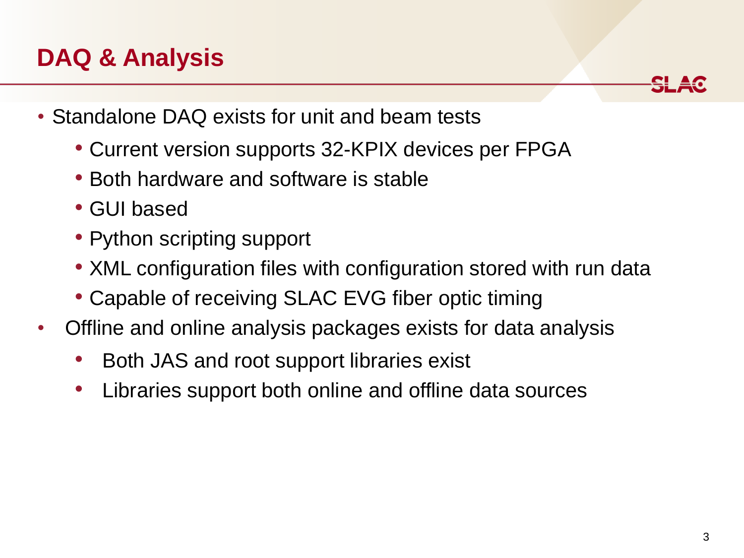## **DAQ & Analysis**

- Standalone DAQ exists for unit and beam tests
	- Current version supports 32-KPIX devices per FPGA
	- Both hardware and software is stable
	- GUI based
	- Python scripting support
	- XML configuration files with configuration stored with run data
	- Capable of receiving SLAC EVG fiber optic timing
- Offline and online analysis packages exists for data analysis
	- Both JAS and root support libraries exist
	- Libraries support both online and offline data sources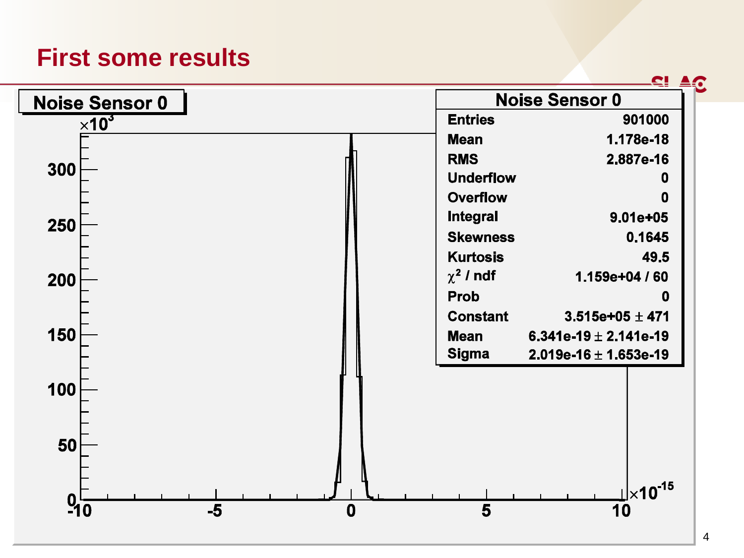#### **First some results**

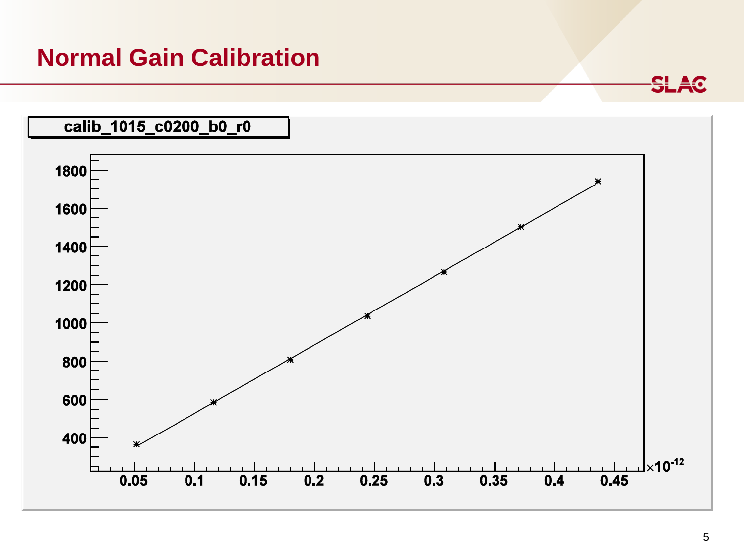#### **Normal Gain Calibration**

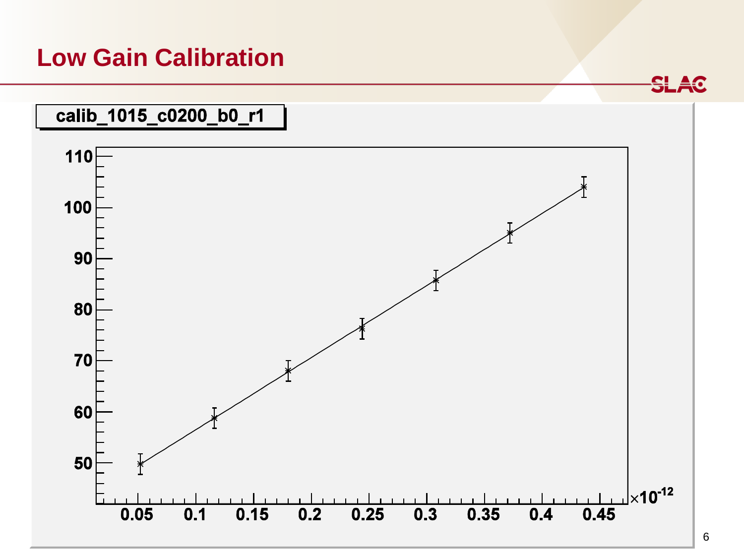#### **Low Gain Calibration**

**SLAC** 

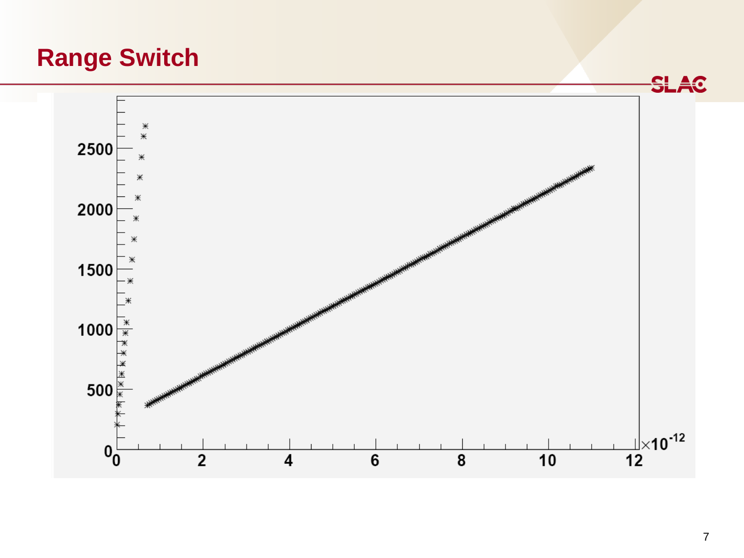## **Range Switch**

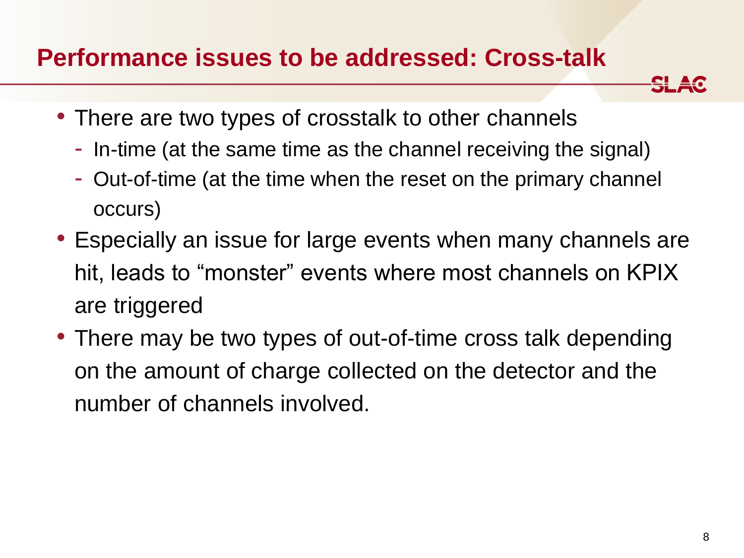#### **Performance issues to be addressed: Cross-talk**

- There are two types of crosstalk to other channels
	- In-time (at the same time as the channel receiving the signal)
	- Out-of-time (at the time when the reset on the primary channel occurs)
- Especially an issue for large events when many channels are hit, leads to "monster" events where most channels on KPIX are triggered
- There may be two types of out-of-time cross talk depending on the amount of charge collected on the detector and the number of channels involved.

<del>SLA</del>C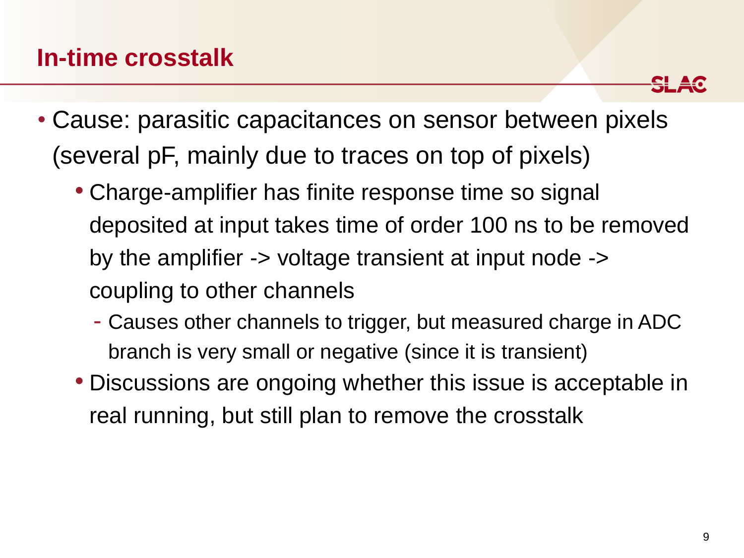

- Cause: parasitic capacitances on sensor between pixels (several pF, mainly due to traces on top of pixels)
	- Charge-amplifier has finite response time so signal deposited at input takes time of order 100 ns to be removed by the amplifier -> voltage transient at input node -> coupling to other channels
		- Causes other channels to trigger, but measured charge in ADC branch is very small or negative (since it is transient)
	- Discussions are ongoing whether this issue is acceptable in real running, but still plan to remove the crosstalk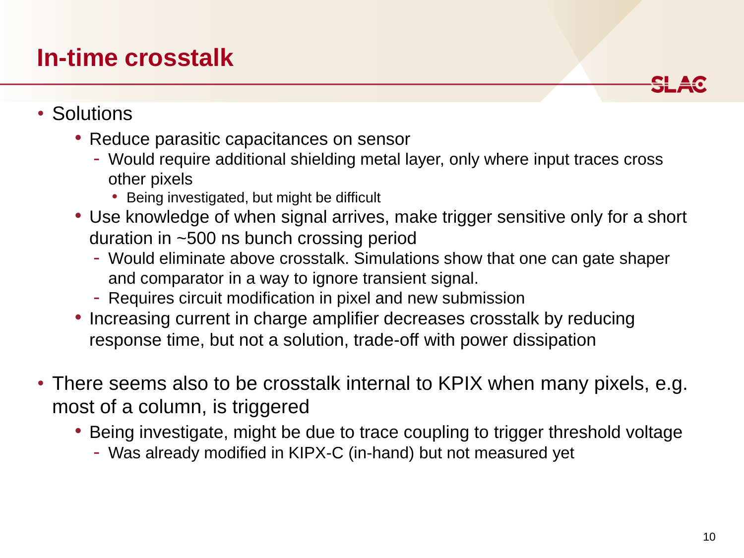### **In-time crosstalk**

<del>SI 4</del>0

- Solutions
	- Reduce parasitic capacitances on sensor
		- Would require additional shielding metal layer, only where input traces cross other pixels
			- Being investigated, but might be difficult
	- Use knowledge of when signal arrives, make trigger sensitive only for a short duration in ~500 ns bunch crossing period
		- Would eliminate above crosstalk. Simulations show that one can gate shaper and comparator in a way to ignore transient signal.
		- Requires circuit modification in pixel and new submission
	- Increasing current in charge amplifier decreases crosstalk by reducing response time, but not a solution, trade-off with power dissipation
- There seems also to be crosstalk internal to KPIX when many pixels, e.g. most of a column, is triggered
	- Being investigate, might be due to trace coupling to trigger threshold voltage
		- Was already modified in KIPX-C (in-hand) but not measured yet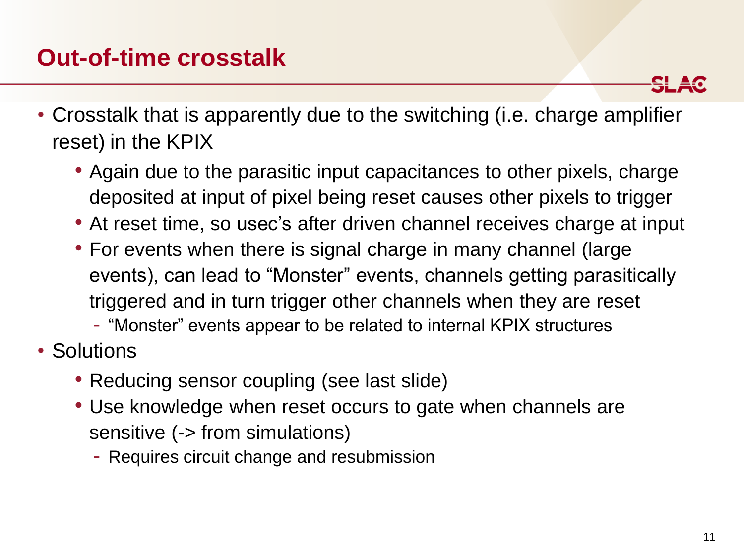## **Out-of-time crosstalk**

• Crosstalk that is apparently due to the switching (i.e. charge amplifier reset) in the KPIX

- Again due to the parasitic input capacitances to other pixels, charge deposited at input of pixel being reset causes other pixels to trigger
- At reset time, so usec's after driven channel receives charge at input
- For events when there is signal charge in many channel (large events), can lead to "Monster" events, channels getting parasitically triggered and in turn trigger other channels when they are reset
	- "Monster" events appear to be related to internal KPIX structures
- Solutions
	- Reducing sensor coupling (see last slide)
	- Use knowledge when reset occurs to gate when channels are sensitive (-> from simulations)
		- Requires circuit change and resubmission

<del>SL 40</del>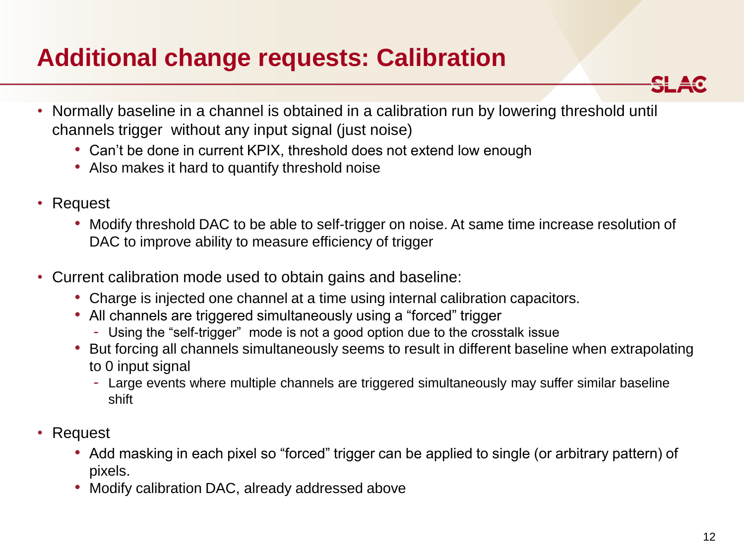## **Additional change requests: Calibration**



- Normally baseline in a channel is obtained in a calibration run by lowering threshold until channels trigger without any input signal (just noise)
	- Can't be done in current KPIX, threshold does not extend low enough
	- Also makes it hard to quantify threshold noise
- Request
	- Modify threshold DAC to be able to self-trigger on noise. At same time increase resolution of DAC to improve ability to measure efficiency of trigger
- Current calibration mode used to obtain gains and baseline:
	- Charge is injected one channel at a time using internal calibration capacitors.
	- All channels are triggered simultaneously using a "forced" trigger
		- Using the "self-trigger" mode is not a good option due to the crosstalk issue
	- But forcing all channels simultaneously seems to result in different baseline when extrapolating to 0 input signal
		- Large events where multiple channels are triggered simultaneously may suffer similar baseline shift
- Request
	- Add masking in each pixel so "forced" trigger can be applied to single (or arbitrary pattern) of pixels.
	- Modify calibration DAC, already addressed above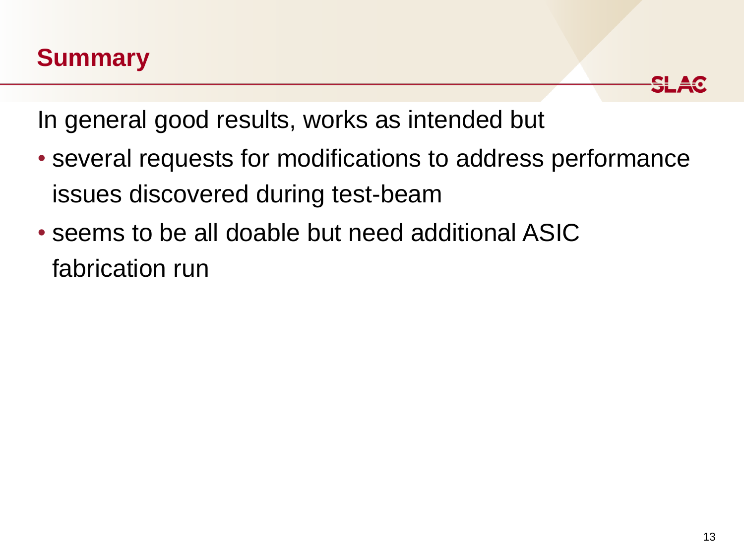## **Summary**



In general good results, works as intended but

- several requests for modifications to address performance issues discovered during test-beam
- seems to be all doable but need additional ASIC fabrication run